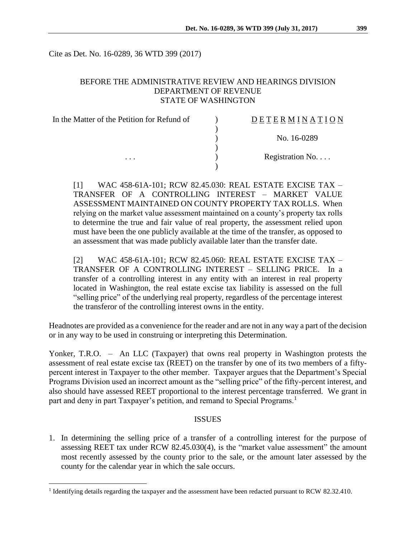Cite as Det. No. 16-0289, 36 WTD 399 (2017)

### BEFORE THE ADMINISTRATIVE REVIEW AND HEARINGS DIVISION DEPARTMENT OF REVENUE STATE OF WASHINGTON

| In the Matter of the Petition for Refund of | <b>DETERMINATION</b> |
|---------------------------------------------|----------------------|
|                                             |                      |
|                                             | No. 16-0289          |
|                                             |                      |
| $\cdots$                                    | Registration No      |
|                                             |                      |

[1] WAC 458-61A-101; RCW 82.45.030: REAL ESTATE EXCISE TAX – TRANSFER OF A CONTROLLING INTEREST – MARKET VALUE ASSESSMENT MAINTAINED ON COUNTY PROPERTY TAX ROLLS. When relying on the market value assessment maintained on a county's property tax rolls to determine the true and fair value of real property, the assessment relied upon must have been the one publicly available at the time of the transfer, as opposed to an assessment that was made publicly available later than the transfer date.

[2] WAC 458-61A-101; RCW 82.45.060: REAL ESTATE EXCISE TAX – TRANSFER OF A CONTROLLING INTEREST – SELLING PRICE. In a transfer of a controlling interest in any entity with an interest in real property located in Washington, the real estate excise tax liability is assessed on the full "selling price" of the underlying real property, regardless of the percentage interest the transferor of the controlling interest owns in the entity.

Headnotes are provided as a convenience for the reader and are not in any way a part of the decision or in any way to be used in construing or interpreting this Determination.

Yonker, T.R.O. – An LLC (Taxpayer) that owns real property in Washington protests the assessment of real estate excise tax (REET) on the transfer by one of its two members of a fiftypercent interest in Taxpayer to the other member. Taxpayer argues that the Department's Special Programs Division used an incorrect amount as the "selling price" of the fifty-percent interest, and also should have assessed REET proportional to the interest percentage transferred. We grant in part and deny in part Taxpayer's petition, and remand to Special Programs.<sup>1</sup>

### ISSUES

1. In determining the selling price of a transfer of a controlling interest for the purpose of assessing REET tax under RCW 82.45.030(4), is the "market value assessment" the amount most recently assessed by the county prior to the sale, or the amount later assessed by the county for the calendar year in which the sale occurs.

 $\overline{a}$ 

<sup>&</sup>lt;sup>1</sup> Identifying details regarding the taxpayer and the assessment have been redacted pursuant to RCW 82.32.410.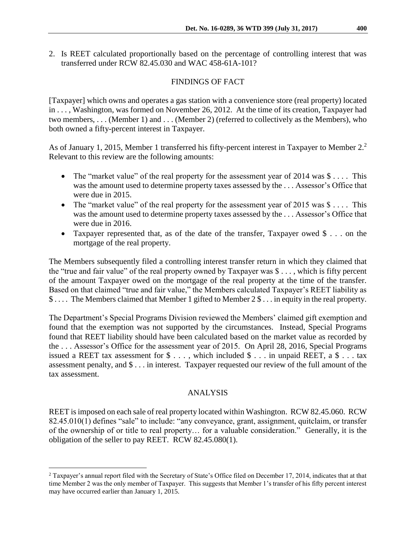2. Is REET calculated proportionally based on the percentage of controlling interest that was transferred under RCW 82.45.030 and WAC 458-61A-101?

# FINDINGS OF FACT

[Taxpayer] which owns and operates a gas station with a convenience store (real property) located in . . . , Washington, was formed on November 26, 2012. At the time of its creation, Taxpayer had two members, . . . (Member 1) and . . . (Member 2) (referred to collectively as the Members), who both owned a fifty-percent interest in Taxpayer.

As of January 1, 2015, Member 1 transferred his fifty-percent interest in Taxpayer to Member 2.<sup>2</sup> Relevant to this review are the following amounts:

- The "market value" of the real property for the assessment year of 2014 was  $\$\ldots$ . This was the amount used to determine property taxes assessed by the . . . Assessor's Office that were due in 2015.
- The "market value" of the real property for the assessment year of 2015 was  $\$\dots$ . This was the amount used to determine property taxes assessed by the . . . Assessor's Office that were due in 2016.
- Taxpayer represented that, as of the date of the transfer, Taxpayer owed \$ . . . on the mortgage of the real property.

The Members subsequently filed a controlling interest transfer return in which they claimed that the "true and fair value" of the real property owned by Taxpayer was \$ . . . , which is fifty percent of the amount Taxpayer owed on the mortgage of the real property at the time of the transfer. Based on that claimed "true and fair value," the Members calculated Taxpayer's REET liability as \$ . . . . The Members claimed that Member 1 gifted to Member 2 \$ . . . in equity in the real property.

The Department's Special Programs Division reviewed the Members' claimed gift exemption and found that the exemption was not supported by the circumstances. Instead, Special Programs found that REET liability should have been calculated based on the market value as recorded by the . . . Assessor's Office for the assessment year of 2015. On April 28, 2016, Special Programs issued a REET tax assessment for  $\$\ldots$ , which included  $\$\ldots$  in unpaid REET, a  $\$\ldots$  tax assessment penalty, and \$ . . . in interest. Taxpayer requested our review of the full amount of the tax assessment.

## ANALYSIS

REET is imposed on each sale of real property located within Washington. RCW 82.45.060. RCW 82.45.010(1) defines "sale" to include: "any conveyance, grant, assignment, quitclaim, or transfer of the ownership of or title to real property… for a valuable consideration." Generally, it is the obligation of the seller to pay REET. RCW 82.45.080(1).

 $\overline{a}$ 

<sup>2</sup> Taxpayer's annual report filed with the Secretary of State's Office filed on December 17, 2014, indicates that at that time Member 2 was the only member of Taxpayer. This suggests that Member 1's transfer of his fifty percent interest may have occurred earlier than January 1, 2015.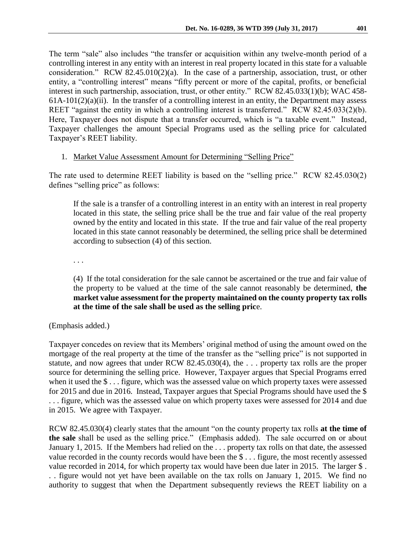The term "sale" also includes "the transfer or acquisition within any twelve-month period of a controlling interest in any entity with an interest in real property located in this state for a valuable consideration." RCW 82.45.010(2)(a). In the case of a partnership, association, trust, or other entity, a "controlling interest" means "fifty percent or more of the capital, profits, or beneficial interest in such partnership, association, trust, or other entity." RCW 82.45.033(1)(b); WAC 458-  $61A-101(2)(a)(ii)$ . In the transfer of a controlling interest in an entity, the Department may assess REET "against the entity in which a controlling interest is transferred." RCW 82.45.033(2)(b). Here, Taxpayer does not dispute that a transfer occurred, which is "a taxable event." Instead, Taxpayer challenges the amount Special Programs used as the selling price for calculated Taxpayer's REET liability.

#### 1. Market Value Assessment Amount for Determining "Selling Price"

The rate used to determine REET liability is based on the "selling price." RCW 82.45.030(2) defines "selling price" as follows:

If the sale is a transfer of a controlling interest in an entity with an interest in real property located in this state, the selling price shall be the true and fair value of the real property owned by the entity and located in this state. If the true and fair value of the real property located in this state cannot reasonably be determined, the selling price shall be determined according to subsection (4) of this section.

. . .

(4) If the total consideration for the sale cannot be ascertained or the true and fair value of the property to be valued at the time of the sale cannot reasonably be determined, **the market value assessment for the property maintained on the county property tax rolls at the time of the sale shall be used as the selling pric**e.

(Emphasis added.)

Taxpayer concedes on review that its Members' original method of using the amount owed on the mortgage of the real property at the time of the transfer as the "selling price" is not supported in statute, and now agrees that under RCW 82.45.030(4), the . . . property tax rolls are the proper source for determining the selling price. However, Taxpayer argues that Special Programs erred when it used the \$ . . . figure, which was the assessed value on which property taxes were assessed for 2015 and due in 2016. Instead, Taxpayer argues that Special Programs should have used the \$ . . . figure, which was the assessed value on which property taxes were assessed for 2014 and due in 2015. We agree with Taxpayer.

RCW 82.45.030(4) clearly states that the amount "on the county property tax rolls **at the time of the sale** shall be used as the selling price." (Emphasis added). The sale occurred on or about January 1, 2015. If the Members had relied on the . . . property tax rolls on that date, the assessed value recorded in the county records would have been the \$ . . . figure, the most recently assessed value recorded in 2014, for which property tax would have been due later in 2015. The larger \$. . . figure would not yet have been available on the tax rolls on January 1, 2015. We find no authority to suggest that when the Department subsequently reviews the REET liability on a